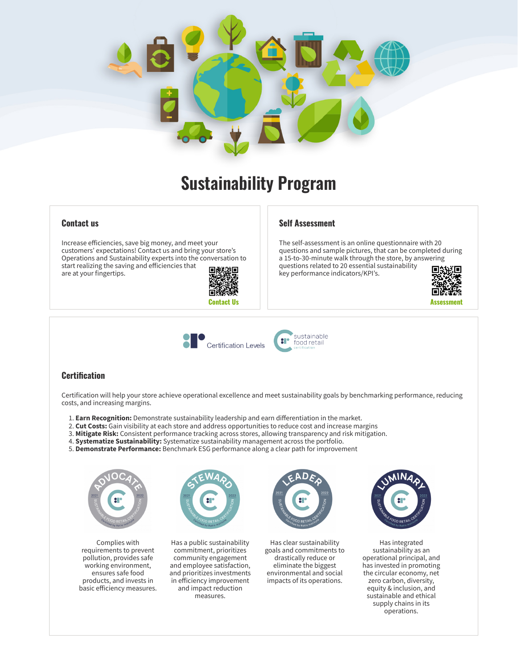

# **Sustainability Program**

#### **Contact us**

Increase efficiencies, save big money, and meet your customers' expectations! Contact us and bring your store's Operations and Sustainability experts into the conversation to start realizing the saving and efficiencies that are at your fingertips.



#### **Self Assessment**

The self-assessment is an online questionnaire with 20 questions and sample pictures, that can be completed during a 15-to-30-minute walk through the store, by answering questions related to 20 essential sustainability 同熱 key performance indicators/KPI's.







### **Certification**

Certification will help your store achieve operational excellence and meet sustainability goals by benchmarking performance, reducing costs, and increasing margins.

- 1. **Earn Recognition:** Demonstrate sustainability leadership and earn differentiation in the market.
- 2. **Cut Costs:** Gain visibility at each store and address opportunities to reduce cost and increase margins
- 3. **Mitigate Risk:** Consistent performance tracking across stores, allowing transparency and risk mitigation.
- 4. **Systematize Sustainability:** Systematize sustainability management across the portfolio.
- 5. **Demonstrate Performance:** Benchmark ESG performance along a clear path for improvement



Complies with requirements to prevent pollution, provides safe working environment, ensures safe food products, and invests in basic efficiency measures.



Has a public sustainability commitment, prioritizes community engagement and employee satisfaction, and prioritizes investments in efficiency improvement and impact reduction measures.



Has clear sustainability goals and commitments to drastically reduce or eliminate the biggest environmental and social impacts of its operations.



Has integrated sustainability as an operational principal, and has invested in promoting the circular economy, net zero carbon, diversity, equity & inclusion, and sustainable and ethical supply chains in its operations.